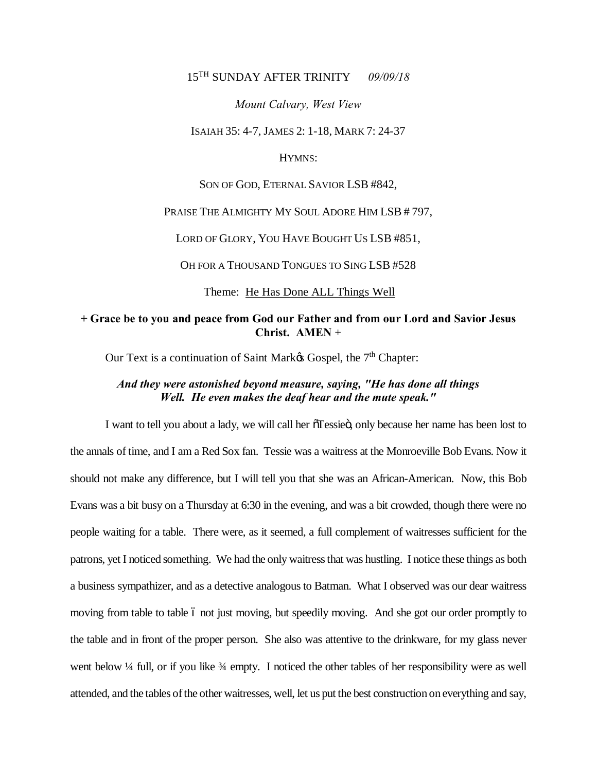# 15TH SUNDAY AFTER TRINITY *09/09/18*

#### *Mount Calvary, West View*

ISAIAH 35: 4-7, JAMES 2: 1-18, MARK 7: 24-37

### HYMNS:

SON OF GOD, ETERNAL SAVIOR LSB #842,

### PRAISE THE ALMIGHTY MY SOUL ADORE HIM LSB #797,

LORD OF GLORY, YOU HAVE BOUGHT US LSB #851,

OH FOR A THOUSAND TONGUES TO SING LSB #528

Theme: He Has Done ALL Things Well

### **+ Grace be to you and peace from God our Father and from our Lord and Savior Jesus Christ. AMEN** +

Our Text is a continuation of Saint Mark& Gospel, the 7<sup>th</sup> Chapter:

# *And they were astonished beyond measure, saying, "He has done all things Well. He even makes the deaf hear and the mute speak."*

I want to tell you about a lady, we will call her  $\tilde{\sigma}$ Tessie $\ddot{\sigma}$ , only because her name has been lost to the annals of time, and I am a Red Sox fan. Tessie was a waitress at the Monroeville Bob Evans. Now it should not make any difference, but I will tell you that she was an African-American. Now, this Bob Evans was a bit busy on a Thursday at 6:30 in the evening, and was a bit crowded, though there were no people waiting for a table. There were, as it seemed, a full complement of waitresses sufficient for the patrons, yet I noticed something. We had the only waitress that was hustling. I notice these things as both a business sympathizer, and as a detective analogous to Batman. What I observed was our dear waitress moving from table to table 6 not just moving, but speedily moving. And she got our order promptly to the table and in front of the proper person. She also was attentive to the drinkware, for my glass never went below ¼ full, or if you like ¼ empty. I noticed the other tables of her responsibility were as well attended, and the tables of the other waitresses, well, let us put the best construction on everything and say,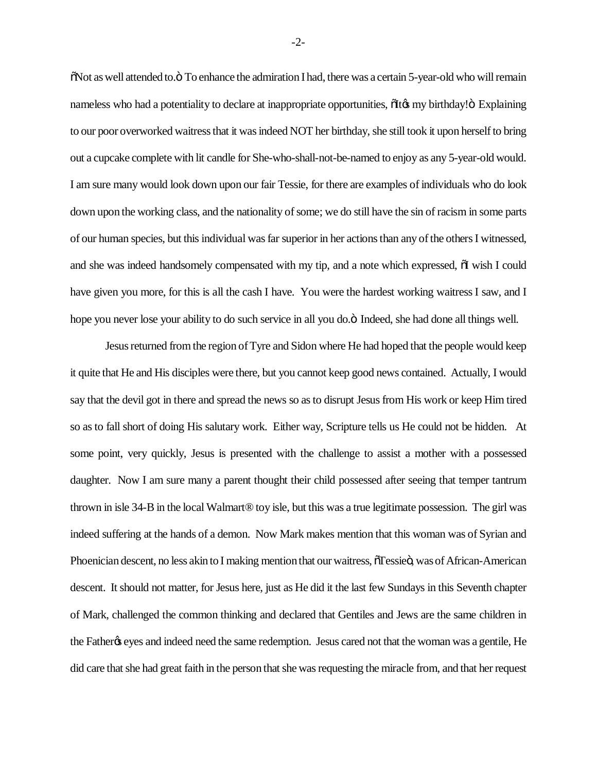$\delta$ Not as well attended to. $\ddot{o}$  To enhance the admiration I had, there was a certain 5-year-old who will remain nameless who had a potentiality to declare at inappropriate opportunities,  $\delta$ It $\alpha$  my birthday! $\delta$  Explaining to our poor overworked waitress that it was indeed NOT her birthday, she still took it upon herself to bring out a cupcake complete with lit candle for She-who-shall-not-be-named to enjoy as any 5-year-old would. I am sure many would look down upon our fair Tessie, for there are examples of individuals who do look down upon the working class, and the nationality of some; we do still have the sin of racism in some parts of our human species, but this individual was far superior in her actions than any of the others I witnessed, and she was indeed handsomely compensated with my tip, and a note which expressed,  $\delta I$  wish I could have given you more, for this is all the cash I have. You were the hardest working waitress I saw, and I hope you never lose your ability to do such service in all you do. $\ddot{o}$  Indeed, she had done all things well.

Jesus returned from the region of Tyre and Sidon where He had hoped that the people would keep it quite that He and His disciples were there, but you cannot keep good news contained. Actually, I would say that the devil got in there and spread the news so as to disrupt Jesus from His work or keep Him tired so as to fall short of doing His salutary work. Either way, Scripture tells us He could not be hidden. At some point, very quickly, Jesus is presented with the challenge to assist a mother with a possessed daughter. Now I am sure many a parent thought their child possessed after seeing that temper tantrum thrown in isle 34-B in the local Walmart® toy isle, but this was a true legitimate possession. The girl was indeed suffering at the hands of a demon. Now Mark makes mention that this woman was of Syrian and Phoenician descent, no less akin to I making mention that our waitress,  $\delta$ Tessieö, was of African-American descent. It should not matter, for Jesus here, just as He did it the last few Sundays in this Seventh chapter of Mark, challenged the common thinking and declared that Gentiles and Jews are the same children in the Father the same indeed need the same redemption. Jesus cared not that the woman was a gentile, He did care that she had great faith in the person that she was requesting the miracle from, and that her request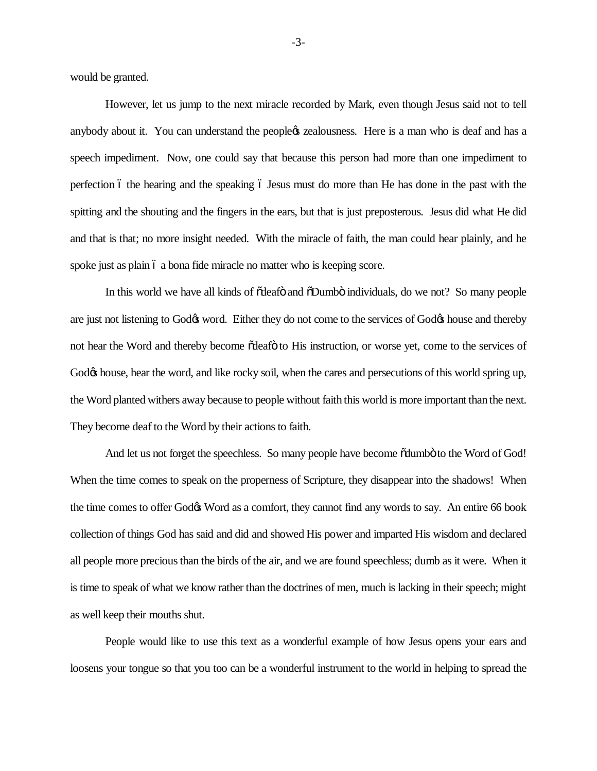would be granted.

However, let us jump to the next miracle recorded by Mark, even though Jesus said not to tell anybody about it. You can understand the peopleos zealousness. Here is a man who is deaf and has a speech impediment. Now, one could say that because this person had more than one impediment to perfection 6 the hearing and the speaking 6 Jesus must do more than He has done in the past with the spitting and the shouting and the fingers in the ears, but that is just preposterous. Jesus did what He did and that is that; no more insight needed. With the miracle of faith, the man could hear plainly, and he spoke just as plain  $\acute{o}$  a bona fide miracle no matter who is keeping score.

In this world we have all kinds of  $\tilde{\alpha}$  deaf  $\tilde{\alpha}$  and  $\tilde{\alpha}$  Dumbo individuals, do we not? So many people are just not listening to God $\alpha$  word. Either they do not come to the services of God $\alpha$  house and thereby not hear the Word and thereby become  $\tilde{\alpha}$  deaf  $\tilde{\alpha}$  to His instruction, or worse yet, come to the services of God $\alpha$  house, hear the word, and like rocky soil, when the cares and persecutions of this world spring up, the Word planted withers away because to people without faith this world is more important than the next. They become deaf to the Word by their actions to faith.

And let us not forget the speechless. So many people have become  $\tilde{\text{c}}$ dumbo to the Word of God! When the time comes to speak on the properness of Scripture, they disappear into the shadows! When the time comes to offer God $\alpha$  Word as a comfort, they cannot find any words to say. An entire 66 book collection of things God has said and did and showed His power and imparted His wisdom and declared all people more precious than the birds of the air, and we are found speechless; dumb as it were. When it is time to speak of what we know rather than the doctrines of men, much is lacking in their speech; might as well keep their mouths shut.

People would like to use this text as a wonderful example of how Jesus opens your ears and loosens your tongue so that you too can be a wonderful instrument to the world in helping to spread the

-3-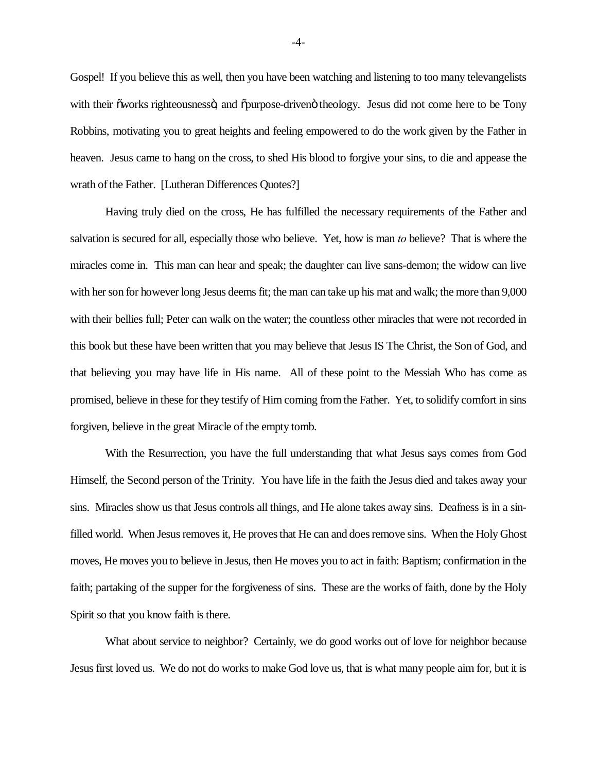Gospel! If you believe this as well, then you have been watching and listening to too many televangelists with their "works righteousness", and  $\ddot{\text{opurpose}}$ -driven" theology. Jesus did not come here to be Tony Robbins, motivating you to great heights and feeling empowered to do the work given by the Father in heaven. Jesus came to hang on the cross, to shed His blood to forgive your sins, to die and appease the wrath of the Father. [Lutheran Differences Quotes?]

Having truly died on the cross, He has fulfilled the necessary requirements of the Father and salvation is secured for all, especially those who believe. Yet, how is man *to* believe? That is where the miracles come in. This man can hear and speak; the daughter can live sans-demon; the widow can live with her son for however long Jesus deems fit; the man can take up his mat and walk; the more than 9,000 with their bellies full; Peter can walk on the water; the countless other miracles that were not recorded in this book but these have been written that you may believe that Jesus IS The Christ, the Son of God, and that believing you may have life in His name. All of these point to the Messiah Who has come as promised, believe in these for they testify of Him coming from the Father. Yet, to solidify comfort in sins forgiven, believe in the great Miracle of the empty tomb.

With the Resurrection, you have the full understanding that what Jesus says comes from God Himself, the Second person of the Trinity. You have life in the faith the Jesus died and takes away your sins. Miracles show us that Jesus controls all things, and He alone takes away sins. Deafness is in a sinfilled world. When Jesus removes it, He proves that He can and does remove sins. When the Holy Ghost moves, He moves you to believe in Jesus, then He moves you to act in faith: Baptism; confirmation in the faith; partaking of the supper for the forgiveness of sins. These are the works of faith, done by the Holy Spirit so that you know faith is there.

What about service to neighbor? Certainly, we do good works out of love for neighbor because Jesus first loved us. We do not do works to make God love us, that is what many people aim for, but it is

-4-